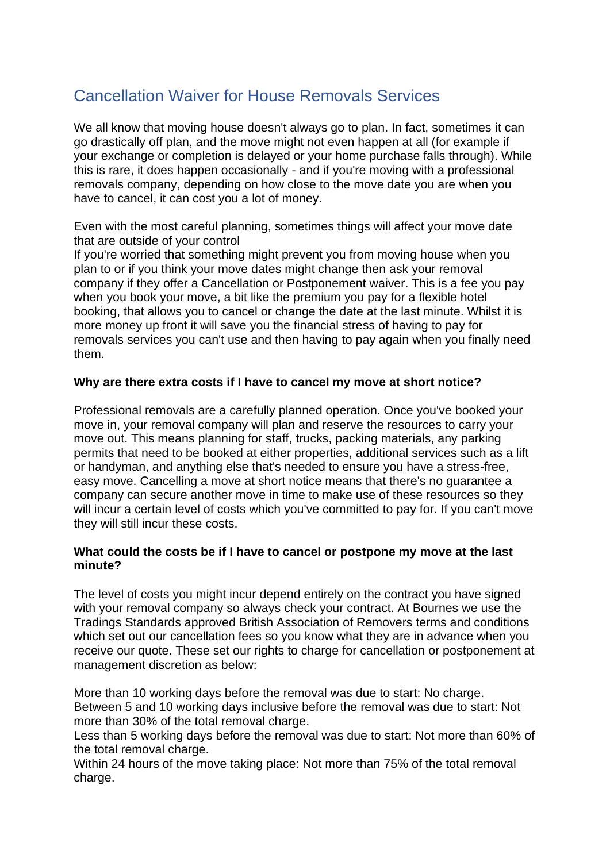# Cancellation Waiver for House Removals Services

We all know that moving house doesn't always go to plan. In fact, sometimes it can go drastically off plan, and the move might not even happen at all (for example if your exchange or completion is delayed or your home purchase falls through). While this is rare, it does happen occasionally - and if you're moving with a professional removals company, depending on how close to the move date you are when you have to cancel, it can cost you a lot of money.

Even with the most careful planning, sometimes things will affect your move date that are outside of your control

If you're worried that something might prevent you from moving house when you plan to or if you think your move dates might change then ask your removal company if they offer a Cancellation or Postponement waiver. This is a fee you pay when you book your move, a bit like the premium you pay for a flexible hotel booking, that allows you to cancel or change the date at the last minute. Whilst it is more money up front it will save you the financial stress of having to pay for removals services you can't use and then having to pay again when you finally need them.

## **Why are there extra costs if I have to cancel my move at short notice?**

Professional removals are a carefully planned operation. Once you've booked your move in, your removal company will plan and reserve the resources to carry your move out. This means planning for staff, trucks, packing materials, any parking permits that need to be booked at either properties, additional services such as a lift or handyman, and anything else that's needed to ensure you have a stress-free, easy move. Cancelling a move at short notice means that there's no guarantee a company can secure another move in time to make use of these resources so they will incur a certain level of costs which you've committed to pay for. If you can't move they will still incur these costs.

#### **What could the costs be if I have to cancel or postpone my move at the last minute?**

The level of costs you might incur depend entirely on the contract you have signed with your removal company so always check your contract. At Bournes we use the Tradings Standards approved British Association of Removers terms and conditions which set out our cancellation fees so you know what they are in advance when you receive our quote. These set our rights to charge for cancellation or postponement at management discretion as below:

More than 10 working days before the removal was due to start: No charge. Between 5 and 10 working days inclusive before the removal was due to start: Not more than 30% of the total removal charge.

Less than 5 working days before the removal was due to start: Not more than 60% of the total removal charge.

Within 24 hours of the move taking place: Not more than 75% of the total removal charge.